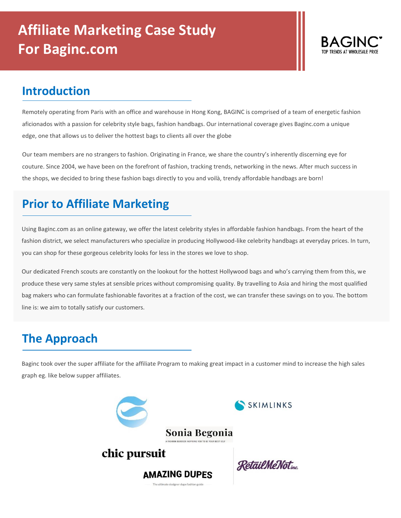

## **Introduction**

Remotely operating from Paris with an office and warehouse in Hong Kong, BAGINC is comprised of a team of energetic fashion aficionados with a passion for celebrity style bags, fashion handbags. Our international coverage gives Baginc.com a unique edge, one that allows us to deliver the hottest bags to clients all over the globe

Our team members are no strangers to fashion. Originating in France, we share the country's inherently discerning eye for couture. Since 2004, we have been on the forefront of fashion, tracking trends, networking in the news. After much success in the shops, we decided to bring these fashion bags directly to you and voilà, trendy affordable handbags are born!

## **Prior to Affiliate Marketing**

Using Baginc.com as an online gateway, we offer the latest celebrity styles in affordable fashion handbags. From the heart of the fashion district, we select manufacturers who specialize in producing Hollywood-like celebrity handbags at everyday prices. In turn, you can shop for these gorgeous celebrity looks for less in the stores we love to shop.

Our dedicated French scouts are constantly on the lookout for the hottest Hollywood bags and who's carrying them from this, we produce these very same styles at sensible prices without compromising quality. By travelling to Asia and hiring the most qualified bag makers who can formulate fashionable favorites at a fraction of the cost, we can transfer these savings on to you. The bottom line is: we aim to totally satisfy our customers.

## **The Approach**

Baginc took over the super affiliate for the affiliate Program to making great impact in a customer mind to increase the high sales graph eg. like below supper affiliates.

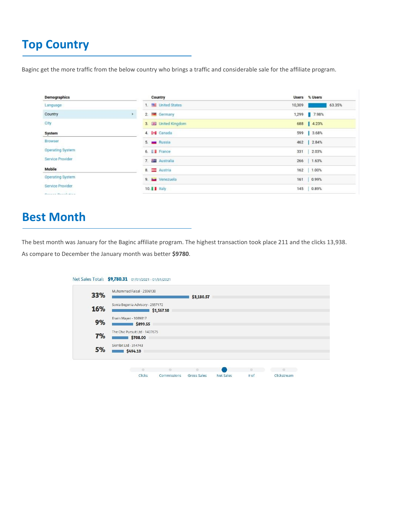# **Top Country**

Baginc get the more traffic from the below country who brings a traffic and considerable sale for the affiliate program.

| Demographics            |    | Country                      | Users % Users    |
|-------------------------|----|------------------------------|------------------|
| Language                |    | 1. <b>Will United States</b> | 63.35%<br>10,309 |
| Country                 | Þ. | 2. <b>Executive</b> Germany  | 1,299 7.98%      |
| City                    |    | 3. 图 United Kingdom          | 688 4.23%        |
| System                  |    | 4. I Canada                  | 599 3.68%        |
| Browser                 |    | 5. <b>IN Russia</b>          | 462   2.84%      |
| <b>Operating System</b> |    | 6. <b>France</b>             | 2.03%<br>331     |
| Service Provider        |    | 7. <b>Fig.</b> Australia     | 266   1.63%      |
| Mobile                  |    | 8. Austria                   | 162   1.00%      |
| Operating System        |    | 9. is Venezuela              | 161 0.99%        |
| Service Provider        |    | 10. I Italy                  | 0.89%<br>145     |
| Property Planningham    |    |                              |                  |

## **Best Month**

The best month was January for the Baginc affiliate program. The highest transaction took place 211 and the clicks 13,938. As compare to December the January month was better **\$9780**.

|     | Net Sales Total: \$9,780.31 01/01/2021 - 01/31/2021 |                  |             |           |      |             |  |
|-----|-----------------------------------------------------|------------------|-------------|-----------|------|-------------|--|
| 33% | Muhammad Faisal - 2596138                           |                  | \$3,180.57  |           |      |             |  |
| 16% | Sonia Begonia Advisory - 2557172                    | \$1,567.10       |             |           |      |             |  |
| 9%  | Erwin Mayer - 1089817<br>\$899.55                   |                  |             |           |      |             |  |
| 7%  | The Chic Pursuit Ltd - 1437675<br>\$708.00          |                  |             |           |      |             |  |
| 5%  | Skimbit Ltd - 314743<br>\$494.10                    |                  |             |           |      |             |  |
|     |                                                     |                  | a.          |           |      |             |  |
|     | ٠<br>Clicks                                         | ۰<br>Commissions | Gross Sales | Net Sales | # of | Clickstream |  |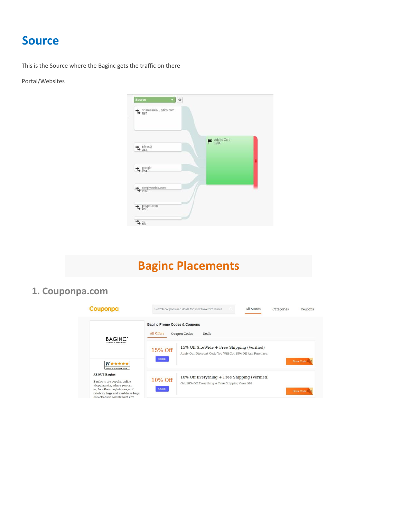### **Source**

This is the Source where the Baginc gets the traffic on there

#### Portal/Websites



# **Baginc Placements**

### **1. Couponpa.com**